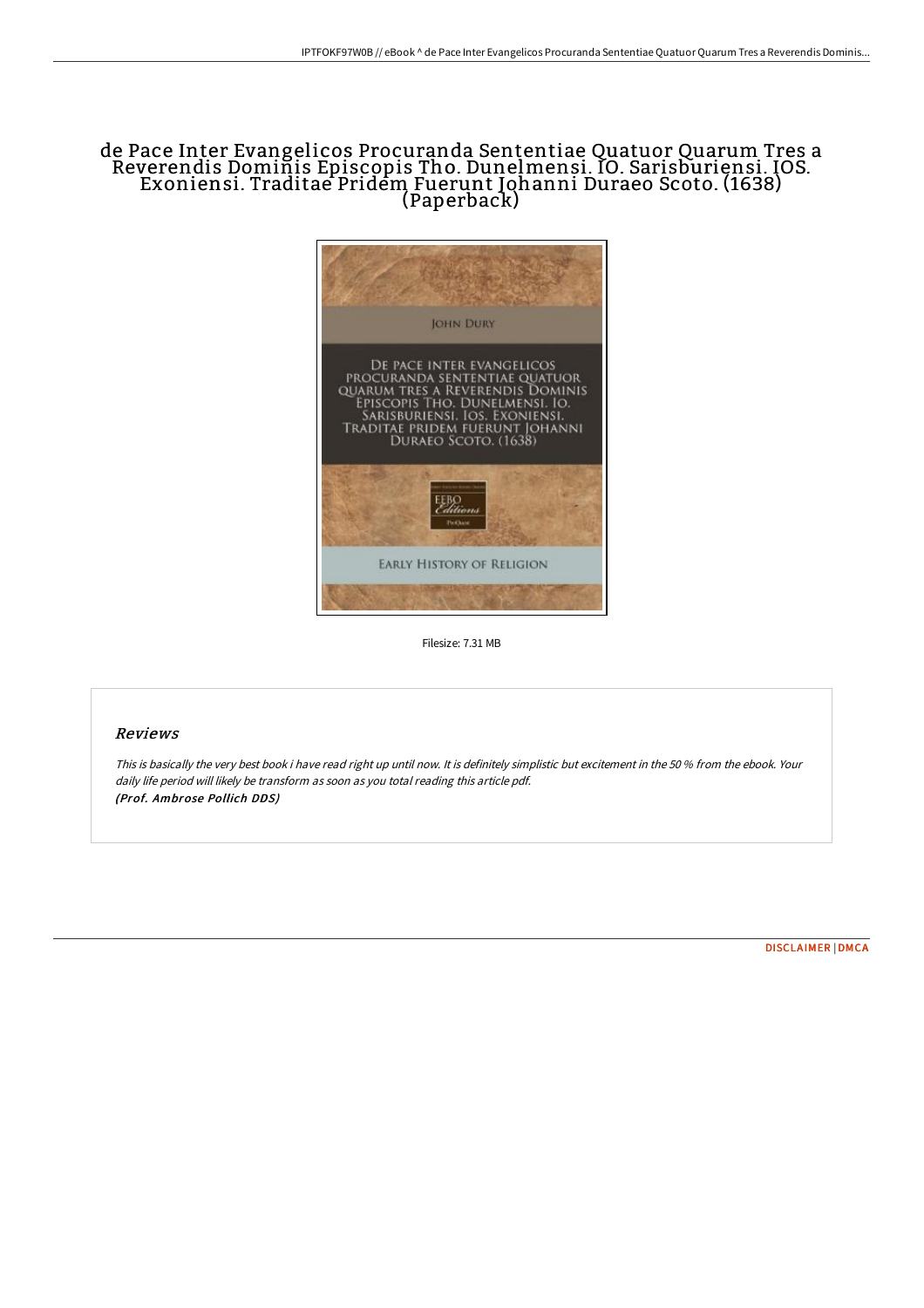## de Pace Inter Evangelicos Procuranda Sententiae Quatuor Quarum Tres a Reverendis Dominis Episcopis Tho. Dunelmensi. IO. Sarisburiensi. IOS. Exoniensi. Traditae Pridem Fuerunt Johanni Duraeo Scoto. (1638) (Paperback)



Filesize: 7.31 MB

## Reviews

This is basically the very best book i have read right up until now. It is definitely simplistic but excitement in the <sup>50</sup> % from the ebook. Your daily life period will likely be transform as soon as you total reading this article pdf. (Prof. Ambrose Pollich DDS)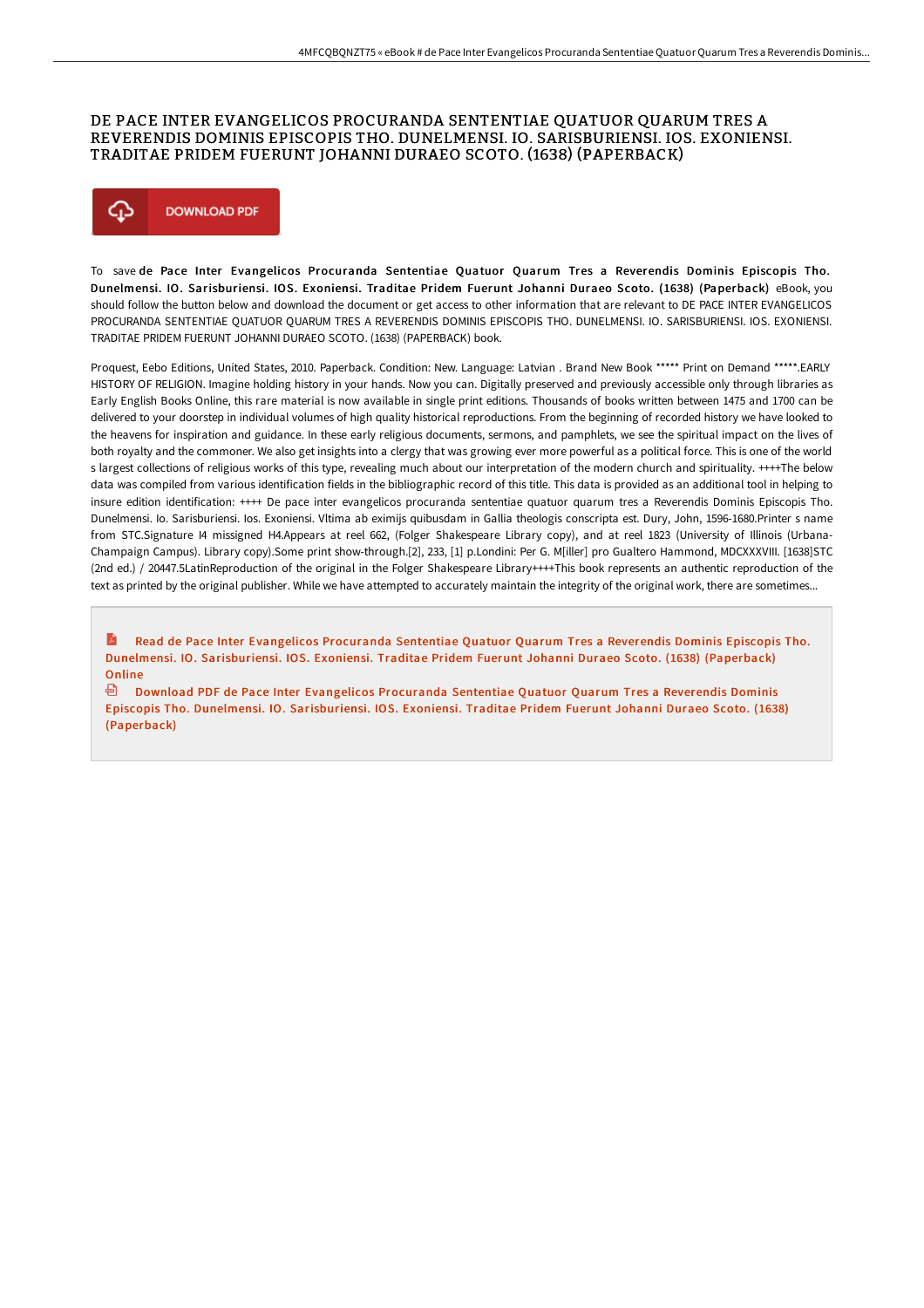## DE PACE INTER EVANGELICOS PROCURANDA SENTENTIAE QUATUOR QUARUM TRES A REVERENDIS DOMINIS EPISCOPIS THO. DUNELMENSI. IO. SARISBURIENSI. IOS. EXONIENSI. TRADITAE PRIDEM FUERUNT JOHANNI DURAEO SCOTO. (1638) (PAPERBACK)



To save de Pace Inter Evangelicos Procuranda Sententiae Quatuor Quarum Tres a Reverendis Dominis Episcopis Tho. Dunelmensi. IO. Sarisburiensi. IOS. Exoniensi. Traditae Pridem Fuerunt Johanni Duraeo Scoto. (1638) (Paperback) eBook, you should follow the button below and download the document or get access to other information that are relevant to DE PACE INTER EVANGELICOS PROCURANDA SENTENTIAE QUATUOR QUARUM TRES A REVERENDIS DOMINIS EPISCOPIS THO. DUNELMENSI. IO. SARISBURIENSI. IOS. EXONIENSI. TRADITAE PRIDEM FUERUNT JOHANNI DURAEO SCOTO. (1638) (PAPERBACK) book.

Proquest, Eebo Editions, United States, 2010. Paperback. Condition: New. Language: Latvian . Brand New Book \*\*\*\*\* Print on Demand \*\*\*\*\*.EARLY HISTORY OF RELIGION. Imagine holding history in your hands. Now you can. Digitally preserved and previously accessible only through libraries as Early English Books Online, this rare material is now available in single print editions. Thousands of books written between 1475 and 1700 can be delivered to your doorstep in individual volumes of high quality historical reproductions. From the beginning of recorded history we have looked to the heavens for inspiration and guidance. In these early religious documents, sermons, and pamphlets, we see the spiritual impact on the lives of both royalty and the commoner. We also get insights into a clergy that was growing ever more powerful as a political force. This is one of the world s largest collections of religious works of this type, revealing much about our interpretation of the modern church and spirituality. ++++The below data was compiled from various identification fields in the bibliographic record of this title. This data is provided as an additional tool in helping to insure edition identification: ++++ De pace inter evangelicos procuranda sententiae quatuor quarum tres a Reverendis Dominis Episcopis Tho. Dunelmensi. Io. Sarisburiensi. Ios. Exoniensi. Vltima ab eximijs quibusdam in Gallia theologis conscripta est. Dury, John, 1596-1680.Printer s name from STC.Signature I4 missigned H4.Appears at reel 662, (Folger Shakespeare Library copy), and at reel 1823 (University of Illinois (Urbana-Champaign Campus). Library copy).Some print show-through.[2], 233, [1] p.Londini: Per G. M[iller] pro Gualtero Hammond, MDCXXXVIII. [1638]STC (2nd ed.) / 20447.5LatinReproduction of the original in the Folger Shakespeare Library++++This book represents an authentic reproduction of the text as printed by the original publisher. While we have attempted to accurately maintain the integrity of the original work, there are sometimes...

Read de Pace Inter Evangelicos Procuranda Sententiae Quatuor Quarum Tres a Reverendis Dominis Episcopis Tho. Dunelmensi. IO. [Sarisburiensi.](http://www.bookdirs.com/de-pace-inter-evangelicos-procuranda-sententiae-.html) IOS. Exoniensi. Traditae Pridem Fuerunt Johanni Duraeo Scoto. (1638) (Paperback) **Online** 

嗣 Download PDF de Pace Inter Evangelicos Procuranda Sententiae Quatuor Quarum Tres a Reverendis Dominis Episcopis Tho. Dunelmensi. IO. [Sarisburiensi.](http://www.bookdirs.com/de-pace-inter-evangelicos-procuranda-sententiae-.html) IOS. Exoniensi. Traditae Pridem Fuerunt Johanni Duraeo Scoto. (1638) (Paperback)